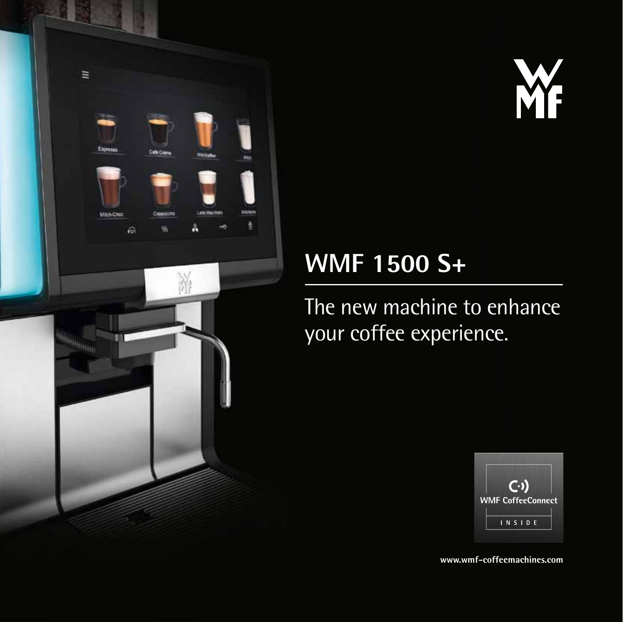



# **WMF 1500 S+**

The new machine to enhance your coffee experience.



**www.wmf-coffeemachines.com**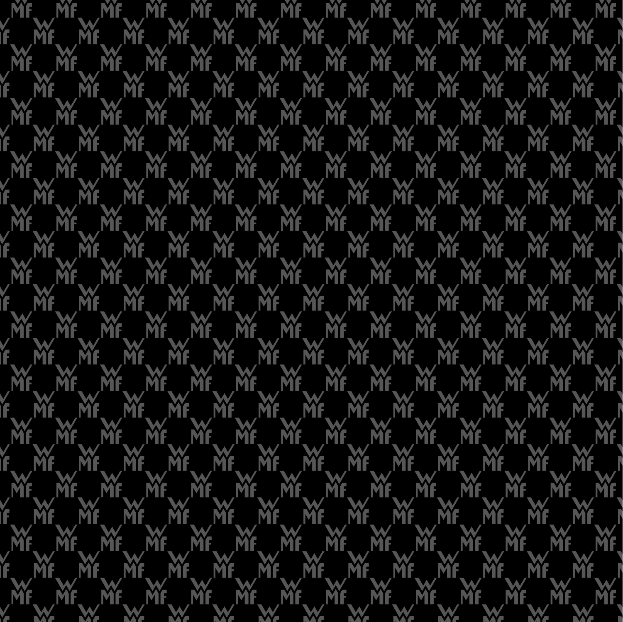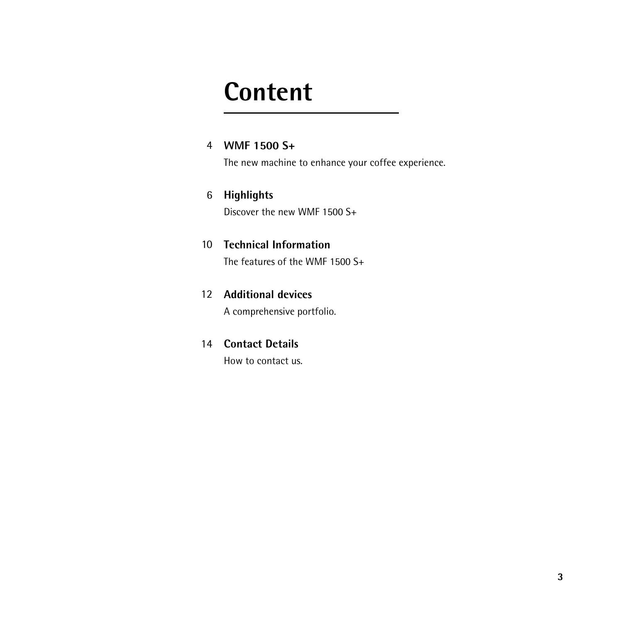## **Content**

#### **WMF 1500 S+** 4

The new machine to enhance your coffee experience.

#### **Highlights** 6

Discover the new WMF 1500 S+

### **Technical Information** 10

The features of the WMF 1500 S+

### **Additional devices** 12

A comprehensive portfolio.

#### **Contact Details** 14

How to contact us.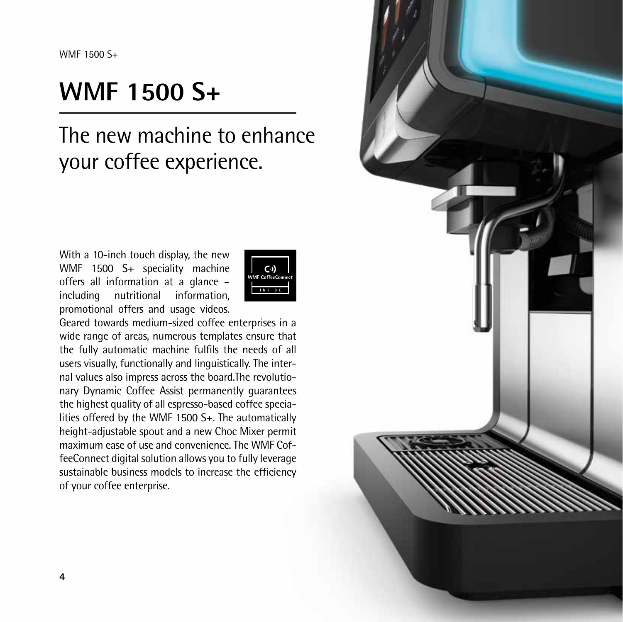#### WMF 1500 S+

# **WMF 1500 S+**

## The new machine to enhance your coffee experience.

With a 10-inch touch display, the new WMF 1500 S+ speciality machine offers all information at a glance – including nutritional information, promotional offers and usage videos.



Geared towards medium-sized coffee enterprises in a wide range of areas, numerous templates ensure that the fully automatic machine fulfils the needs of all users visually, functionally and linguistically. The internal values also impress across the board.The revolutionary Dynamic Coffee Assist permanently guarantees the highest quality of all espresso-based coffee specialities offered by the WMF 1500 S+. The automatically height-adjustable spout and a new Choc Mixer permit maximum ease of use and convenience. The WMF CoffeeConnect digital solution allows you to fully leverage sustainable business models to increase the efficiency of your coffee enterprise.

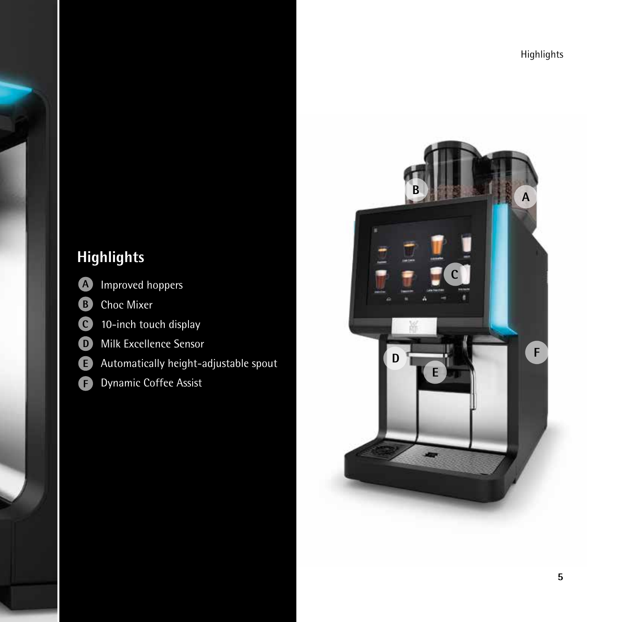Highlights

### **Highlights**

- Improved hoppers **A**
- Choc Mixer **B**
- 10-inch touch display **C**
- Milk Excellence Sensor **D**
- Automatically height-adjustable spout **E**
- Dynamic Coffee Assist **F**

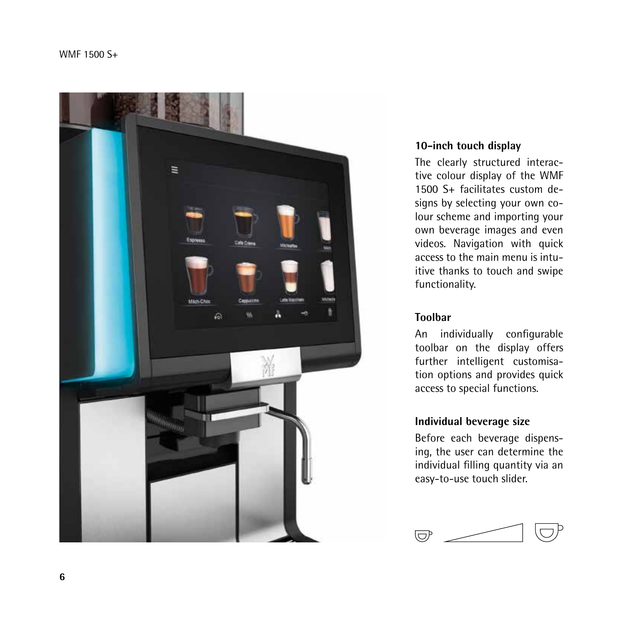

#### **10-inch touch display**

The clearly structured interac tive colour display of the WMF 1500 S+ facilitates custom de signs by selecting your own co lour scheme and importing your own beverage images and even videos. Navigation with quick access to the main menu is intu itive thanks to touch and swipe functionality.

#### **Toolbar**

An individually configurable toolbar on the display offers further intelligent customisa tion options and provides quick access to special functions.

#### **Individual beverage size**

Before each beverage dispens ing, the user can determine the individual filling quantity via an easy-to-use touch slider.

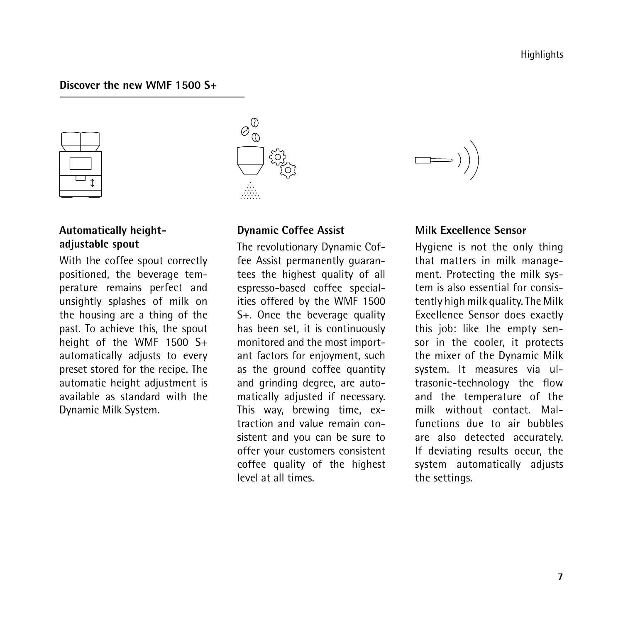#### **Discover the new WMF 1500 S+**



#### **Automatically heightadjustable spout**

With the coffee spout correctly positioned, the beverage temperature remains perfect and unsightly splashes of milk on the housing are a thing of the past. To achieve this, the spout height of the WMF 1500 S+ automatically adjusts to every preset stored for the recipe. The automatic height adjustment is available as standard with the Dynamic Milk System.



#### **Dynamic Coffee Assist**

The revolutionary Dynamic Coffee Assist permanently guarantees the highest quality of all espresso-based coffee specialities offered by the WMF 1500 S+. Once the beverage quality has been set, it is continuously monitored and the most important factors for enjoyment, such as the ground coffee quantity and grinding degree, are automatically adjusted if necessary. This way, brewing time, extraction and value remain consistent and you can be sure to offer your customers consistent coffee quality of the highest level at all times.



#### **Milk Excellence Sensor**

Hygiene is not the only thing that matters in milk management. Protecting the milk system is also essential for consistently high milk quality. The Milk Excellence Sensor does exactly this job: like the empty sensor in the cooler, it protects the mixer of the Dynamic Milk system. It measures via ultrasonic-technology the flow and the temperature of the milk without contact. Malfunctions due to air bubbles are also detected accurately. If deviating results occur, the system automatically adjusts the settings.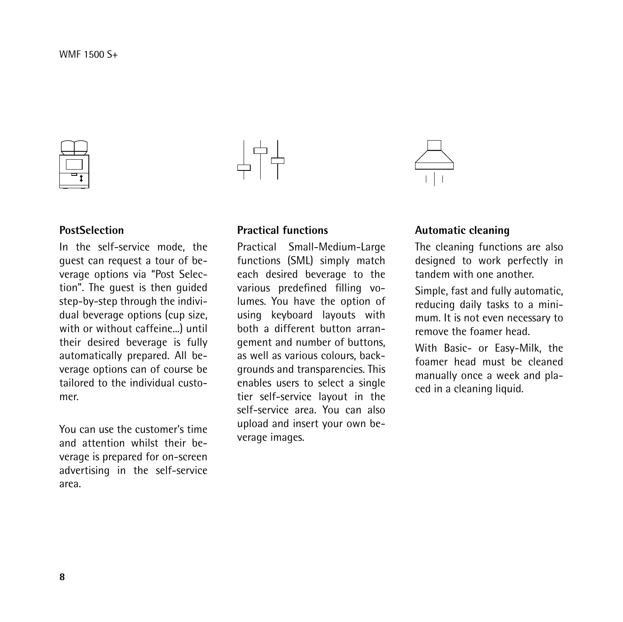

#### **PostSelection**

In the self-service mode, the guest can request a tour of beverage options via "Post Selection". The guest is then guided step-by-step through the individual beverage options (cup size, with or without caffeine...) until their desired beverage is fully automatically prepared. All beverage options can of course be tailored to the individual customer.

You can use the customer's time and attention whilst their beverage is prepared for on-screen advertising in the self-service area.



#### **Practical functions**

Practical Small-Medium-Large functions (SML) simply match each desired beverage to the various predefined filling volumes. You have the option of using keyboard layouts with both a different button arrangement and number of buttons, as well as various colours, backgrounds and transparencies. This enables users to select a single tier self-service layout in the self-service area. You can also upload and insert your own beverage images.



#### **Automatic cleaning**

The cleaning functions are also designed to work perfectly in tandem with one another.

Simple, fast and fully automatic, reducing daily tasks to a minimum. It is not even necessary to remove the foamer head.

With Basic- or Easy-Milk, the foamer head must be cleaned manually once a week and placed in a cleaning liquid.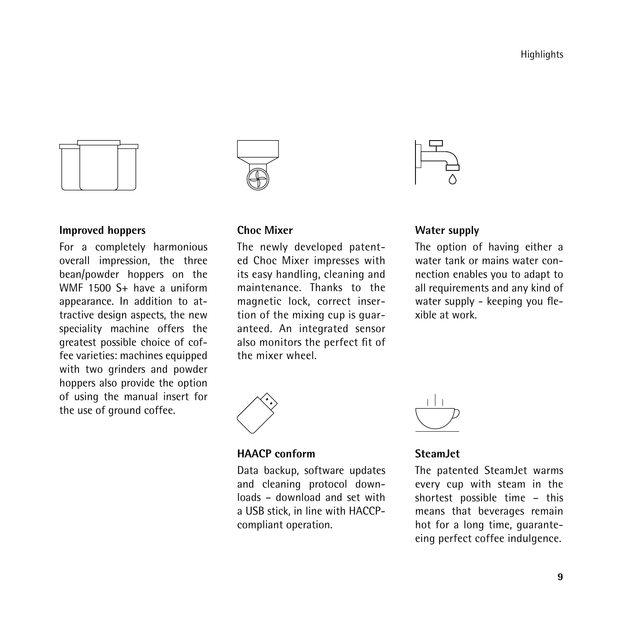

#### **Improved hoppers**

For a completely harmonious overall impression, the three bean/powder hoppers on the WMF 1500  $S+$  have a uniform appearance. In addition to attractive design aspects, the new speciality machine offers the greatest possible choice of coffee varieties: machines equipped with two grinders and powder hoppers also provide the option of using the manual insert for the use of ground coffee.



#### **Choc Mixer**

The newly developed patented Choc Mixer impresses with its easy handling, cleaning and maintenance. Thanks to the magnetic lock, correct insertion of the mixing cup is guaranteed. An integrated sensor also monitors the perfect fit of the mixer wheel.



#### **HAACP conform**

Data backup, software updates and cleaning protocol downloads – download and set with a USB stick, in line with HACCPcompliant operation.



#### **Water supply**

The option of having either a water tank or mains water connection enables you to adapt to all requirements and any kind of water supply - keeping you flexible at work.



#### **SteamJet**

The patented SteamJet warms every cup with steam in the shortest possible time – this means that beverages remain hot for a long time, guaranteeing perfect coffee indulgence.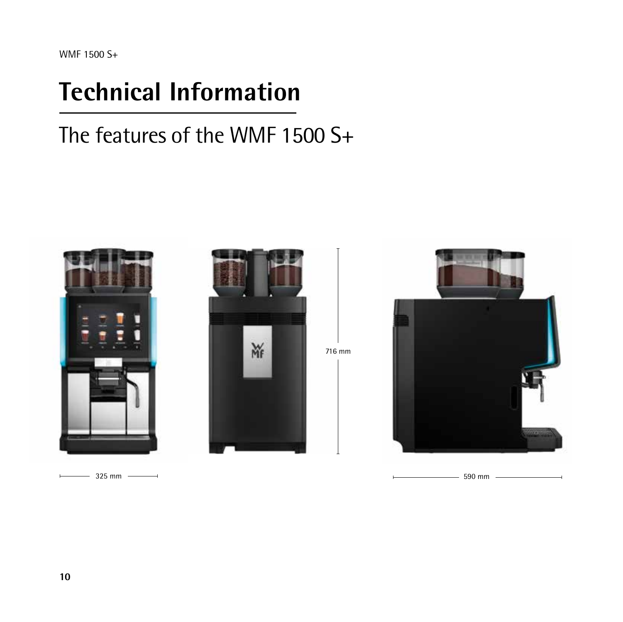WMF 1500 S+

# **Technical Information**

### The features of the WMF 1500 S+



325 mm 590 mm



716 mm

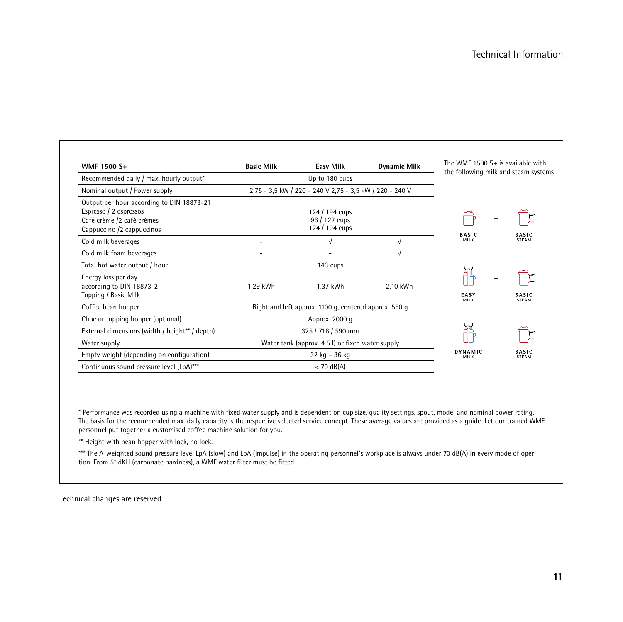| <b>WMF 1500 S+</b>                                                                                                            | <b>Basic Milk</b>                                       | <b>Easy Milk</b>                                      | <b>Dynamic Milk</b> | The WMF 1500 S+ is available with |           | the following milk and steam systems: |
|-------------------------------------------------------------------------------------------------------------------------------|---------------------------------------------------------|-------------------------------------------------------|---------------------|-----------------------------------|-----------|---------------------------------------|
| Recommended daily / max. hourly output*                                                                                       |                                                         | Up to 180 cups                                        |                     |                                   |           |                                       |
| Nominal output / Power supply                                                                                                 | 2,75 - 3,5 kW / 220 - 240 V 2,75 - 3,5 kW / 220 - 240 V |                                                       |                     |                                   |           |                                       |
| Output per hour according to DIN 18873-21<br>Espresso / 2 espressos<br>Café crème /2 café crèmes<br>Cappuccino /2 cappuccinos |                                                         | 124 / 194 cups<br>96 / 122 cups<br>124 / 194 cups     |                     | <b>BASIC</b>                      | $\ddot{}$ | <b>BASIC</b>                          |
| Cold milk beverages                                                                                                           |                                                         | √                                                     | V                   | <b>MILK</b>                       |           | <b>STEAM</b>                          |
| Cold milk foam beverages                                                                                                      |                                                         |                                                       | N                   |                                   |           |                                       |
| Total hot water output / hour                                                                                                 |                                                         | 143 cups                                              |                     |                                   |           |                                       |
| Energy loss per day<br>according to DIN 18873-2<br>Topping / Basic Milk                                                       | 1,29 kWh                                                | 1,37 kWh                                              | 2,10 kWh            | EASY<br><b>MILK</b>               |           | <b>BASIC</b><br><b>STEAM</b>          |
| Coffee bean hopper                                                                                                            |                                                         | Right and left approx. 1100 g, centered approx. 550 g |                     |                                   |           |                                       |
| Choc or topping hopper (optional)                                                                                             |                                                         | Approx. 2000 q                                        |                     |                                   |           |                                       |
| External dimensions (width / height** / depth)                                                                                | 325 / 716 / 590 mm                                      |                                                       |                     |                                   | $\ddot{}$ |                                       |
| Water supply                                                                                                                  | Water tank (approx. 4.5 l) or fixed water supply        |                                                       |                     |                                   |           |                                       |
| Empty weight (depending on configuration)                                                                                     | 32 kg - 36 kg                                           |                                                       |                     | <b>DYNAMIC</b><br>MILK            |           | <b>BASIC</b><br><b>STEAM</b>          |
| Continuous sound pressure level (LpA)***                                                                                      |                                                         | $<$ 70 dB(A)                                          |                     |                                   |           |                                       |

\* Performance was recorded using a machine with fixed water supply and is dependent on cup size, quality settings, spout, model and nominal power rating. The basis for the recommended max. daily capacity is the respective selected service concept. These average values are provided as a guide. Let our trained WMF personnel put together a customised coffee machine solution for you.

\*\* Height with bean hopper with lock, no lock.

\*\*\* The A-weighted sound pressure level LpA (slow) and LpA (impulse) in the operating personnel´s workplace is always under 70 dB(A) in every mode of oper tion. From 5° dKH (carbonate hardness), a WMF water filter must be fitted.

Technical changes are reserved.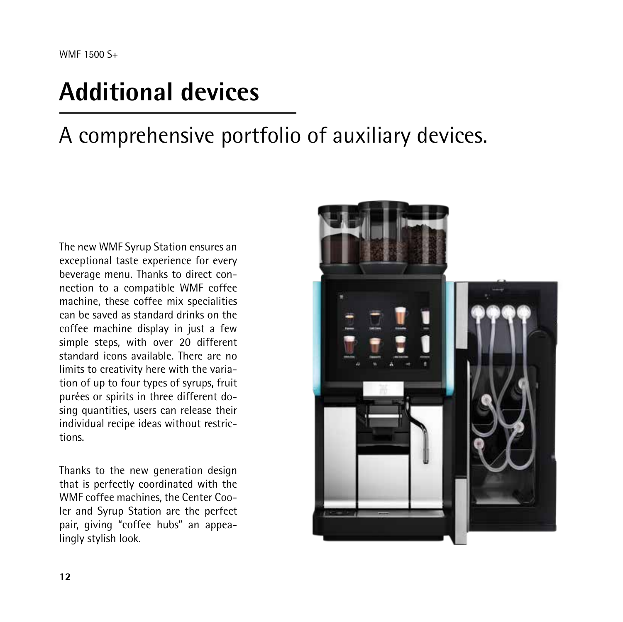# **Additional devices**

## A comprehensive portfolio of auxiliary devices.

The new WMF Syrup Station ensures an exceptional taste experience for every beverage menu. Thanks to direct connection to a compatible WMF coffee machine, these coffee mix specialities can be saved as standard drinks on the coffee machine display in just a few simple steps, with over 20 different standard icons available. There are no limits to creativity here with the variation of up to four types of syrups, fruit purées or spirits in three different dosing quantities, users can release their individual recipe ideas without restrictions.

Thanks to the new generation design that is perfectly coordinated with the WMF coffee machines, the Center Cooler and Syrup Station are the perfect pair, giving "coffee hubs" an appealingly stylish look.

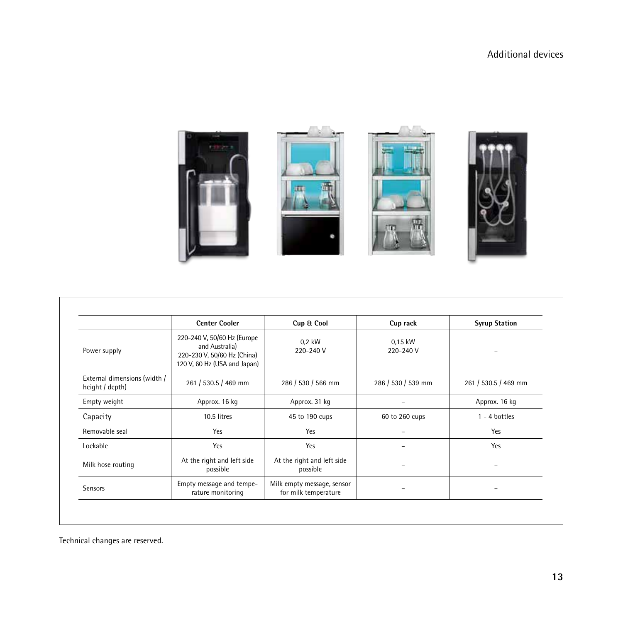

|                                                 | <b>Center Cooler</b>                                                                                         | <b>Cup &amp; Cool</b>                              | Cup rack             | <b>Syrup Station</b> |
|-------------------------------------------------|--------------------------------------------------------------------------------------------------------------|----------------------------------------------------|----------------------|----------------------|
| Power supply                                    | 220-240 V, 50/60 Hz (Europe<br>and Australia)<br>220-230 V, 50/60 Hz (China)<br>120 V, 60 Hz (USA and Japan) | $0.2$ kW<br>220-240 V                              | 0,15 kW<br>220-240 V |                      |
| External dimensions (width /<br>height / depth) | 261 / 530.5 / 469 mm                                                                                         | 286 / 530 / 566 mm                                 | 286 / 530 / 539 mm   | 261 / 530.5 / 469 mm |
| Empty weight                                    | Approx. 16 kg                                                                                                | Approx. 31 kg                                      |                      | Approx. 16 kg        |
| Capacity                                        | 10.5 litres                                                                                                  | 45 to 190 cups                                     | 60 to 260 cups       | $1 - 4$ bottles      |
| Removable seal                                  | Yes                                                                                                          | Yes                                                |                      | Yes                  |
| Lockable                                        | Yes                                                                                                          | Yes                                                | Ξ.                   | Yes                  |
| Milk hose routing                               | At the right and left side<br>possible                                                                       | At the right and left side<br>possible             |                      |                      |
| Sensors                                         | Empty message and tempe-<br>rature monitoring                                                                | Milk empty message, sensor<br>for milk temperature |                      |                      |

Technical changes are reserved.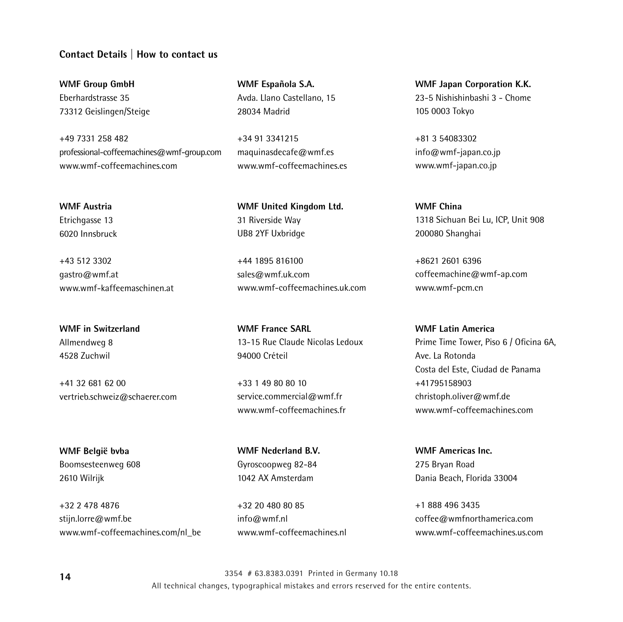#### **Contact Details | How to contact us**

**WMF Group GmbH** Eberhardstrasse 35 73312 Geislingen/Steige

+49 7331 258 482 www.wmf-coffeemachines.com professional-coffeemachines@wmf-group.com

**WMF Austria** Etrichgasse 13 6020 Innsbruck

+43 512 3302 gastro@wmf.at www.wmf-kaffeemaschinen.at

**WMF in Switzerland** Allmendweg 8 4528 Zuchwil

+41 32 681 62 00 vertrieb.schweiz@schaerer.com

**WMF België bvba** Boomsesteenweg 608 2610 Wilrijk

+32 2 478 4876 stijn.lorre@wmf.be www.wmf-coffeemachines.com/nl\_be **WMF Española S.A.** Avda. Llano Castellano, 15 28034 Madrid

+34 91 3341215 maquinasdecafe@wmf.es www.wmf-coffeemachines.es

**WMF United Kingdom Ltd.** 31 Riverside Way UB8 2YF Uxbridge

+44 1895 816100 sales@wmf.uk.com www.wmf-coffeemachines.uk.com

**WMF France SARL** 13-15 Rue Claude Nicolas Ledoux 94000 Créteil

+33 1 49 80 80 10 service.commercial@wmf.fr www.wmf-coffeemachines.fr

**WMF Nederland B.V.** Gyroscoopweg 82-84 1042 AX Amsterdam

+32 20 480 80 85 info@wmf.nl www.wmf-coffeemachines.nl **WMF Japan Corporation K.K.** 23-5 Nishishinbashi 3 - Chome 105 0003 Tokyo

+81 3 54083302 info@wmf-japan.co.jp www.wmf-japan.co.jp

**WMF China** 1318 Sichuan Bei Lu, ICP, Unit 908 200080 Shanghai

+8621 2601 6396 coffeemachine@wmf-ap.com www.wmf-pcm.cn

**WMF Latin America** Prime Time Tower, Piso 6 / Oficina 6A, Ave. La Rotonda Costa del Este, Ciudad de Panama +41795158903 christoph.oliver@wmf.de www.wmf-coffeemachines.com

**WMF Americas Inc.** 275 Bryan Road Dania Beach, Florida 33004

+1 888 496 3435 coffee@wmfnorthamerica.com www.wmf-coffeemachines.us.com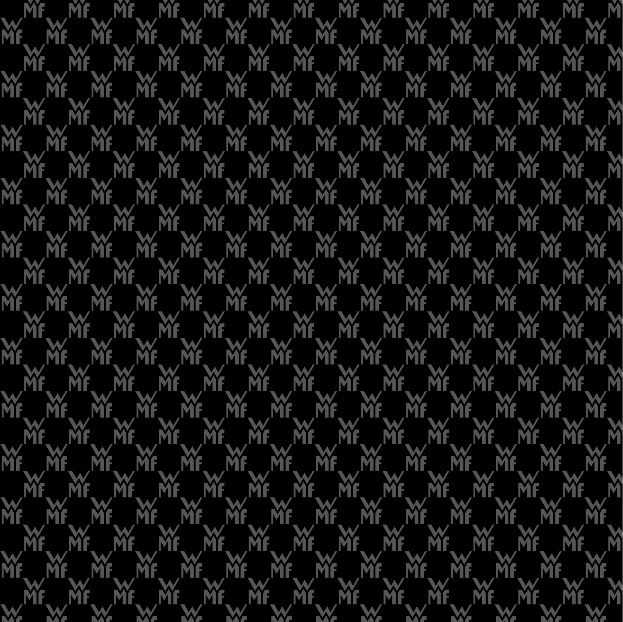